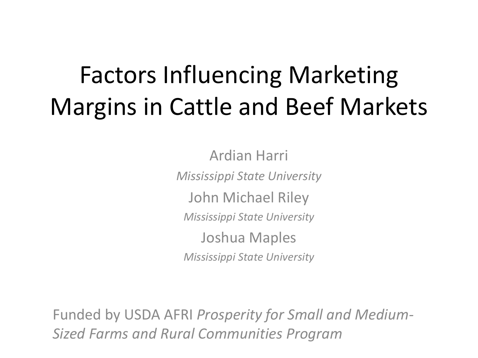#### Factors Influencing Marketing Margins in Cattle and Beef Markets

Ardian Harri *Mississippi State University* John Michael Riley *Mississippi State University* Joshua Maples *Mississippi State University*

Funded by USDA AFRI *Prosperity for Small and Medium-Sized Farms and Rural Communities Program*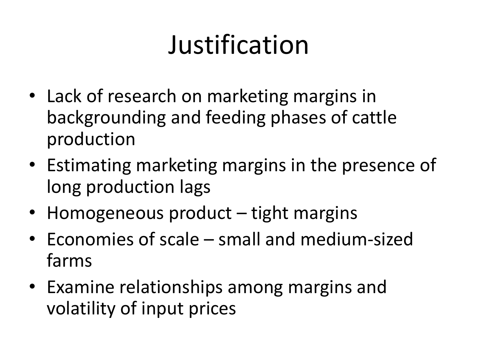# Justification

- Lack of research on marketing margins in backgrounding and feeding phases of cattle production
- Estimating marketing margins in the presence of long production lags
- Homogeneous product tight margins
- Economies of scale small and medium-sized farms
- Examine relationships among margins and volatility of input prices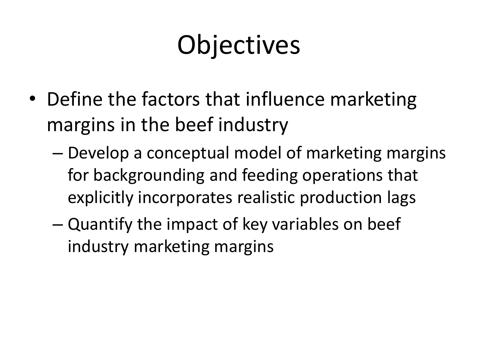# Objectives

- Define the factors that influence marketing margins in the beef industry
	- Develop a conceptual model of marketing margins for backgrounding and feeding operations that explicitly incorporates realistic production lags
	- Quantify the impact of key variables on beef industry marketing margins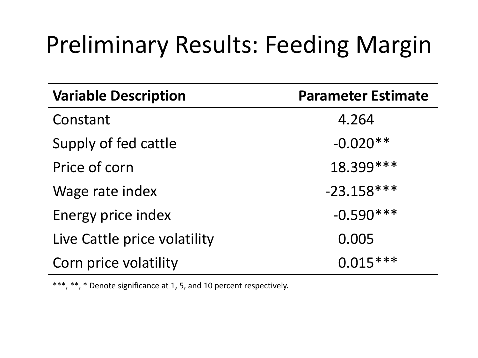#### Preliminary Results: Feeding Margin

| <b>Variable Description</b>  | <b>Parameter Estimate</b> |
|------------------------------|---------------------------|
| Constant                     | 4.264                     |
| Supply of fed cattle         | $-0.020**$                |
| Price of corn                | 18.399 ***                |
| Wage rate index              | $-23.158***$              |
| Energy price index           | $-0.590***$               |
| Live Cattle price volatility | 0.005                     |
| Corn price volatility        | $0.015***$                |

\*\*\*, \*\*, \* Denote significance at 1, 5, and 10 percent respectively.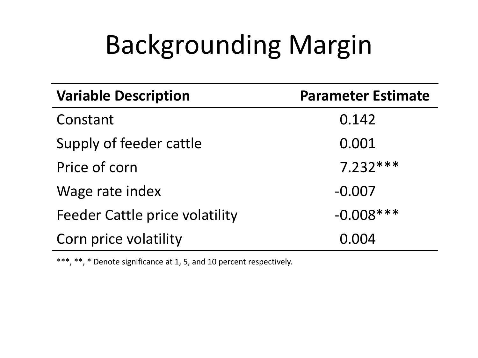# Backgrounding Margin

| <b>Variable Description</b>           | <b>Parameter Estimate</b> |
|---------------------------------------|---------------------------|
| Constant                              | 0.142                     |
| Supply of feeder cattle               | 0.001                     |
| Price of corn                         | $7.232***$                |
| Wage rate index                       | $-0.007$                  |
| <b>Feeder Cattle price volatility</b> | $-0.008***$               |
| Corn price volatility                 | 0.004                     |

\*\*\*, \*\*, \* Denote significance at 1, 5, and 10 percent respectively.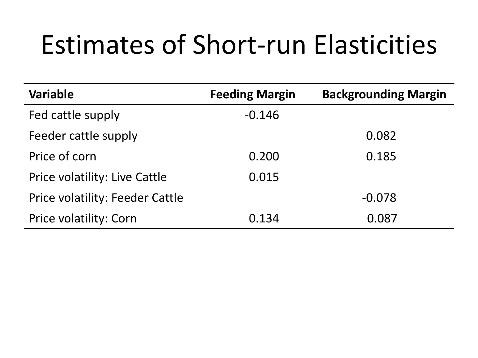### Estimates of Short-run Elasticities

| <b>Variable</b>                 | <b>Feeding Margin</b> | <b>Backgrounding Margin</b> |
|---------------------------------|-----------------------|-----------------------------|
| Fed cattle supply               | $-0.146$              |                             |
| Feeder cattle supply            |                       | 0.082                       |
| Price of corn                   | 0.200                 | 0.185                       |
| Price volatility: Live Cattle   | 0.015                 |                             |
| Price volatility: Feeder Cattle |                       | $-0.078$                    |
| Price volatility: Corn          | 0.134                 | 0.087                       |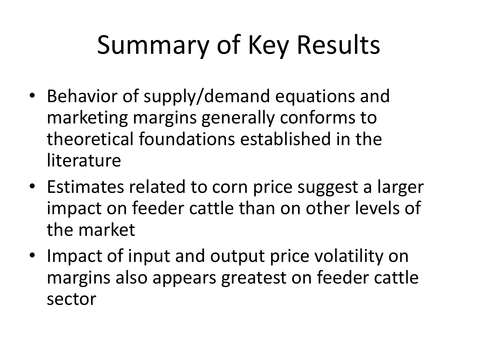# Summary of Key Results

- Behavior of supply/demand equations and marketing margins generally conforms to theoretical foundations established in the literature
- Estimates related to corn price suggest a larger impact on feeder cattle than on other levels of the market
- Impact of input and output price volatility on margins also appears greatest on feeder cattle sector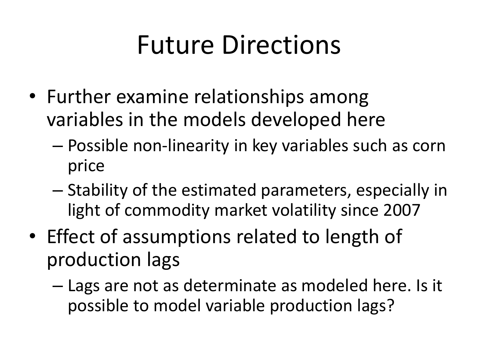### Future Directions

- Further examine relationships among variables in the models developed here
	- Possible non-linearity in key variables such as corn price
	- Stability of the estimated parameters, especially in light of commodity market volatility since 2007
- Effect of assumptions related to length of production lags
	- Lags are not as determinate as modeled here. Is it possible to model variable production lags?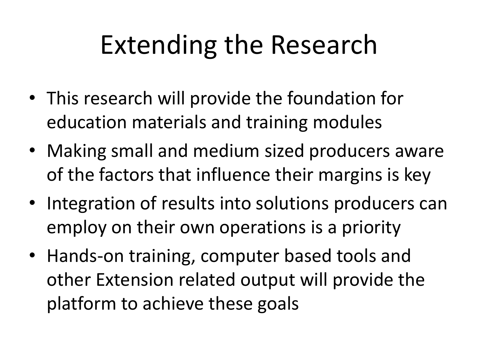## Extending the Research

- This research will provide the foundation for education materials and training modules
- Making small and medium sized producers aware of the factors that influence their margins is key
- Integration of results into solutions producers can employ on their own operations is a priority
- Hands-on training, computer based tools and other Extension related output will provide the platform to achieve these goals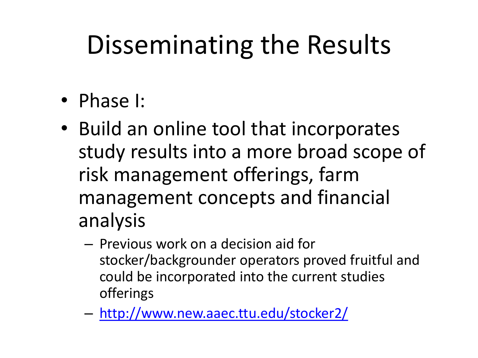## Disseminating the Results

- Phase I:
- Build an online tool that incorporates study results into a more broad scope of risk management offerings, farm management concepts and financial analysis
	- Previous work on a decision aid for stocker/backgrounder operators proved fruitful and could be incorporated into the current studies offerings
	- <http://www.new.aaec.ttu.edu/stocker2/>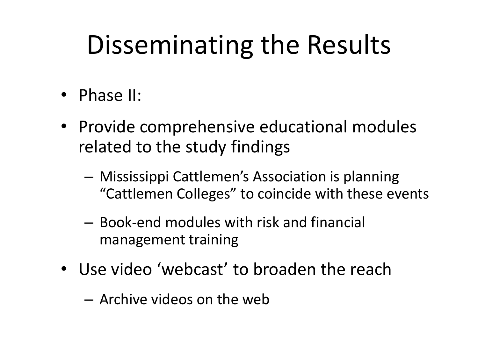## Disseminating the Results

- Phase II:
- Provide comprehensive educational modules related to the study findings
	- Mississippi Cattlemen's Association is planning "Cattlemen Colleges" to coincide with these events
	- Book-end modules with risk and financial management training
- Use video 'webcast' to broaden the reach
	- Archive videos on the web